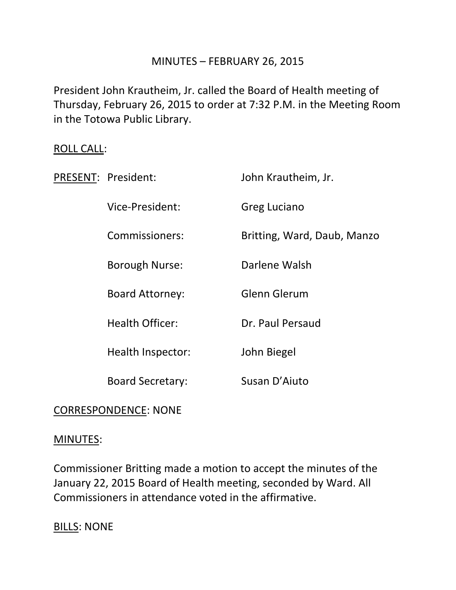## MINUTES – FEBRUARY 26, 2015

President John Krautheim, Jr. called the Board of Health meeting of Thursday, February 26, 2015 to order at 7:32 P.M. in the Meeting Room in the Totowa Public Library.

### ROLL CALL:

| PRESENT: President:     | John Krautheim, Jr.         |
|-------------------------|-----------------------------|
| Vice-President:         | Greg Luciano                |
| Commissioners:          | Britting, Ward, Daub, Manzo |
| Borough Nurse:          | Darlene Walsh               |
| <b>Board Attorney:</b>  | Glenn Glerum                |
| <b>Health Officer:</b>  | Dr. Paul Persaud            |
| Health Inspector:       | John Biegel                 |
| <b>Board Secretary:</b> | Susan D'Aiuto               |

## CORRESPONDENCE: NONE

### MINUTES:

Commissioner Britting made a motion to accept the minutes of the January 22, 2015 Board of Health meeting, seconded by Ward. All Commissioners in attendance voted in the affirmative.

BILLS: NONE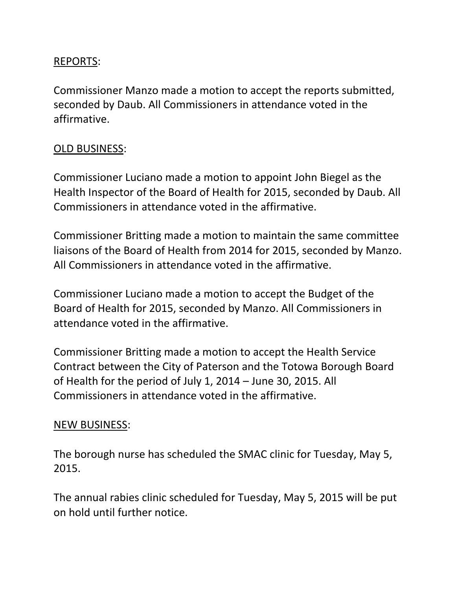# REPORTS:

Commissioner Manzo made a motion to accept the reports submitted, seconded by Daub. All Commissioners in attendance voted in the affirmative.

# OLD BUSINESS:

Commissioner Luciano made a motion to appoint John Biegel as the Health Inspector of the Board of Health for 2015, seconded by Daub. All Commissioners in attendance voted in the affirmative.

Commissioner Britting made a motion to maintain the same committee liaisons of the Board of Health from 2014 for 2015, seconded by Manzo. All Commissioners in attendance voted in the affirmative.

Commissioner Luciano made a motion to accept the Budget of the Board of Health for 2015, seconded by Manzo. All Commissioners in attendance voted in the affirmative.

Commissioner Britting made a motion to accept the Health Service Contract between the City of Paterson and the Totowa Borough Board of Health for the period of July 1, 2014 – June 30, 2015. All Commissioners in attendance voted in the affirmative.

## NEW BUSINESS:

The borough nurse has scheduled the SMAC clinic for Tuesday, May 5, 2015.

The annual rabies clinic scheduled for Tuesday, May 5, 2015 will be put on hold until further notice.